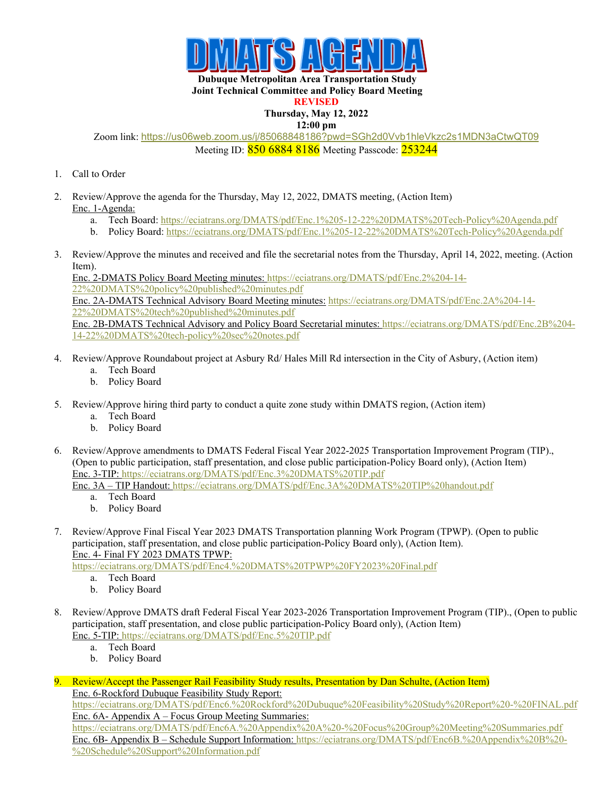

**Dubuque Metropolitan Area Transportation Study Joint Technical Committee and Policy Board Meeting** 

## **REVISED**

## **Thursday, May 12, 2022**

**12:00 pm**

Zoom link: <https://us06web.zoom.us/j/85068848186?pwd=SGh2d0Vvb1hleVkzc2s1MDN3aCtwQT09> Meeting ID: 850 6884 8186 Meeting Passcode: 253244

- 1. Call to Order
- 2. Review/Approve the agenda for the Thursday, May 12, 2022, DMATS meeting, (Action Item) Enc. 1-Agenda:
	- a. Tech Board:<https://eciatrans.org/DMATS/pdf/Enc.1%205-12-22%20DMATS%20Tech-Policy%20Agenda.pdf>
	- b. Policy Board:<https://eciatrans.org/DMATS/pdf/Enc.1%205-12-22%20DMATS%20Tech-Policy%20Agenda.pdf>
- 3. Review/Approve the minutes and received and file the secretarial notes from the Thursday, April 14, 2022, meeting. (Action Item).

Enc. 2-DMATS Policy Board Meeting minutes: [https://eciatrans.org/DMATS/pdf/Enc.2%204-14-](https://eciatrans.org/DMATS/pdf/Enc.2%204-14-22%20DMATS%20policy%20published%20minutes.pdf) [22%20DMATS%20policy%20published%20minutes.pdf](https://eciatrans.org/DMATS/pdf/Enc.2%204-14-22%20DMATS%20policy%20published%20minutes.pdf) Enc. 2A-DMATS Technical Advisory Board Meeting minutes: [https://eciatrans.org/DMATS/pdf/Enc.2A%204-14-](https://eciatrans.org/DMATS/pdf/Enc.2A%204-14-22%20DMATS%20tech%20published%20minutes.pdf) [22%20DMATS%20tech%20published%20minutes.pdf](https://eciatrans.org/DMATS/pdf/Enc.2A%204-14-22%20DMATS%20tech%20published%20minutes.pdf) Enc. 2B-DMATS Technical Advisory and Policy Board Secretarial minutes: [https://eciatrans.org/DMATS/pdf/Enc.2B%204-](https://eciatrans.org/DMATS/pdf/Enc.2B%204-14-22%20DMATS%20tech-policy%20sec%20notes.pdf) [14-22%20DMATS%20tech-policy%20sec%20notes.pdf](https://eciatrans.org/DMATS/pdf/Enc.2B%204-14-22%20DMATS%20tech-policy%20sec%20notes.pdf)

- 4. Review/Approve Roundabout project at Asbury Rd/ Hales Mill Rd intersection in the City of Asbury, (Action item)
	- a. Tech Board
	- b. Policy Board
- 5. Review/Approve hiring third party to conduct a quite zone study within DMATS region, (Action item)
	- a. Tech Board
	- b. Policy Board
- 6. Review/Approve amendments to DMATS Federal Fiscal Year 2022-2025 Transportation Improvement Program (TIP)., (Open to public participation, staff presentation, and close public participation-Policy Board only), (Action Item) Enc. 3-TIP:<https://eciatrans.org/DMATS/pdf/Enc.3%20DMATS%20TIP.pdf>
	- Enc. 3A TIP Handout: <https://eciatrans.org/DMATS/pdf/Enc.3A%20DMATS%20TIP%20handout.pdf>
		- a. Tech Board
		- b. Policy Board
- 7. Review/Approve Final Fiscal Year 2023 DMATS Transportation planning Work Program (TPWP). (Open to public participation, staff presentation, and close public participation-Policy Board only), (Action Item). Enc. 4- Final FY 2023 DMATS TPWP:

<https://eciatrans.org/DMATS/pdf/Enc4.%20DMATS%20TPWP%20FY2023%20Final.pdf>

- a. Tech Board
- b. Policy Board
- 8. Review/Approve DMATS draft Federal Fiscal Year 2023-2026 Transportation Improvement Program (TIP)., (Open to public participation, staff presentation, and close public participation-Policy Board only), (Action Item) Enc. 5-TIP:<https://eciatrans.org/DMATS/pdf/Enc.5%20TIP.pdf>
	- a. Tech Board
	- b. Policy Board
- 9. Review/Accept the Passenger Rail Feasibility Study results, Presentation by Dan Schulte, (Action Item) Enc. 6-Rockford Dubuque Feasibility Study Report:

<https://eciatrans.org/DMATS/pdf/Enc6.%20Rockford%20Dubuque%20Feasibility%20Study%20Report%20-%20FINAL.pdf> Enc. 6A- Appendix A – Focus Group Meeting Summaries:

<https://eciatrans.org/DMATS/pdf/Enc6A.%20Appendix%20A%20-%20Focus%20Group%20Meeting%20Summaries.pdf> Enc. 6B- Appendix B – Schedule Support Information: [https://eciatrans.org/DMATS/pdf/Enc6B.%20Appendix%20B%20-](https://eciatrans.org/DMATS/pdf/Enc6B.%20Appendix%20B%20-%20Schedule%20Support%20Information.pdf) [%20Schedule%20Support%20Information.pdf](https://eciatrans.org/DMATS/pdf/Enc6B.%20Appendix%20B%20-%20Schedule%20Support%20Information.pdf)